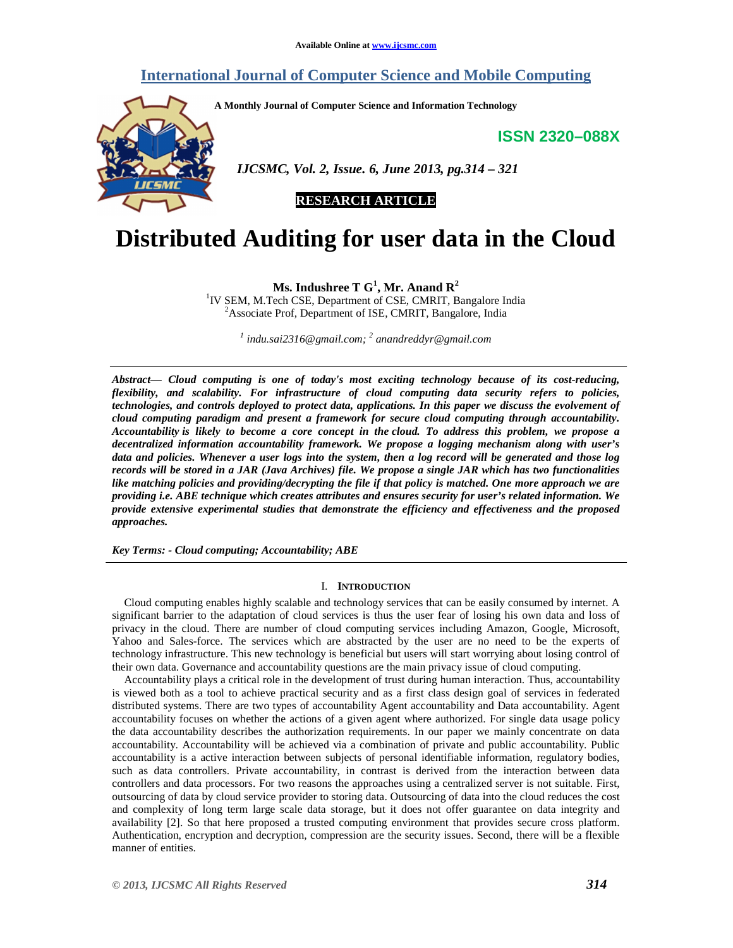# **International Journal of Computer Science and Mobile Computing**

**A Monthly Journal of Computer Science and Information Technology** 

**ISSN 2320–088X**



 *IJCSMC, Vol. 2, Issue. 6, June 2013, pg.314 – 321* 

**RESEARCH ARTICLE** 

# **Distributed Auditing for user data in the Cloud**

**Ms. Indushree T G<sup>1</sup> , Mr. Anand R<sup>2</sup>**

<sup>1</sup>IV SEM, M.Tech CSE, Department of CSE, CMRIT, Bangalore India <sup>2</sup>Associate Prof, Department of ISE, CMRIT, Bangalore, India

*1 indu.sai2316@gmail.com; <sup>2</sup> anandreddyr@gmail.com* 

*Abstract— Cloud computing is one of today's most exciting technology because of its cost-reducing, flexibility, and scalability. For infrastructure of cloud computing data security refers to policies, technologies, and controls deployed to protect data, applications. In this paper we discuss the evolvement of cloud computing paradigm and present a framework for secure cloud computing through accountability. Accountability is likely to become a core concept in the cloud. To address this problem, we propose a decentralized information accountability framework. We propose a logging mechanism along with user's data and policies. Whenever a user logs into the system, then a log record will be generated and those log records will be stored in a JAR (Java Archives) file. We propose a single JAR which has two functionalities like matching policies and providing/decrypting the file if that policy is matched. One more approach we are providing i.e. ABE technique which creates attributes and ensures security for user's related information. We provide extensive experimental studies that demonstrate the efficiency and effectiveness and the proposed approaches.* 

*Key Terms: - Cloud computing; Accountability; ABE* 

#### I. **INTRODUCTION**

Cloud computing enables highly scalable and technology services that can be easily consumed by internet. A significant barrier to the adaptation of cloud services is thus the user fear of losing his own data and loss of privacy in the cloud. There are number of cloud computing services including Amazon, Google, Microsoft, Yahoo and Sales-force. The services which are abstracted by the user are no need to be the experts of technology infrastructure. This new technology is beneficial but users will start worrying about losing control of their own data. Governance and accountability questions are the main privacy issue of cloud computing.

Accountability plays a critical role in the development of trust during human interaction. Thus, accountability is viewed both as a tool to achieve practical security and as a first class design goal of services in federated distributed systems. There are two types of accountability Agent accountability and Data accountability. Agent accountability focuses on whether the actions of a given agent where authorized. For single data usage policy the data accountability describes the authorization requirements. In our paper we mainly concentrate on data accountability. Accountability will be achieved via a combination of private and public accountability. Public accountability is a active interaction between subjects of personal identifiable information, regulatory bodies, such as data controllers. Private accountability, in contrast is derived from the interaction between data controllers and data processors. For two reasons the approaches using a centralized server is not suitable. First, outsourcing of data by cloud service provider to storing data. Outsourcing of data into the cloud reduces the cost and complexity of long term large scale data storage, but it does not offer guarantee on data integrity and availability [2]. So that here proposed a trusted computing environment that provides secure cross platform. Authentication, encryption and decryption, compression are the security issues. Second, there will be a flexible manner of entities.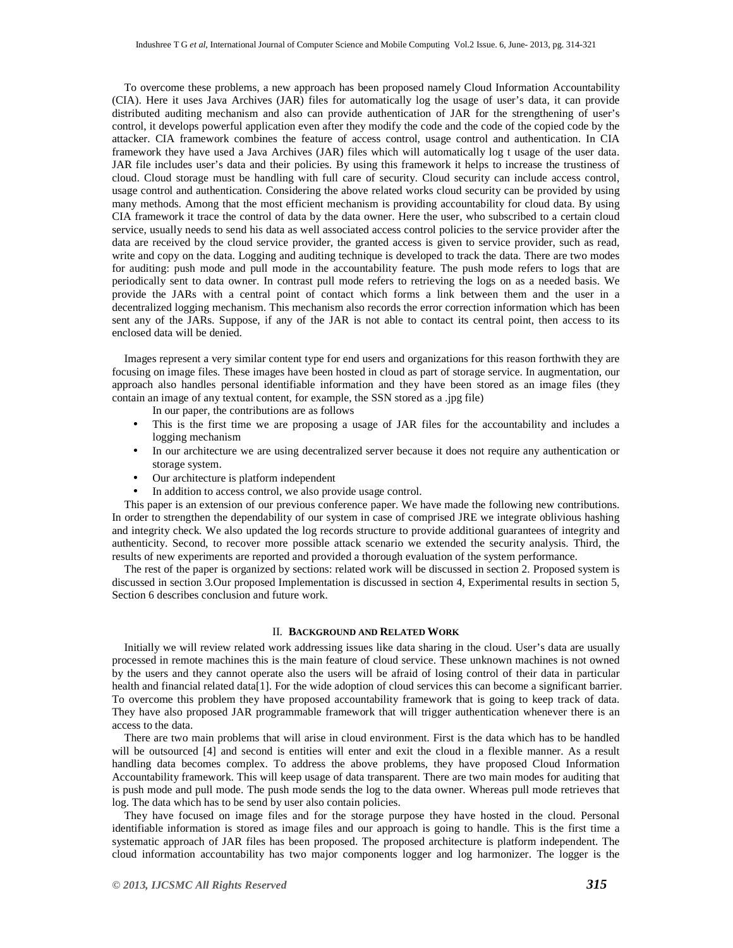To overcome these problems, a new approach has been proposed namely Cloud Information Accountability (CIA). Here it uses Java Archives (JAR) files for automatically log the usage of user's data, it can provide distributed auditing mechanism and also can provide authentication of JAR for the strengthening of user's control, it develops powerful application even after they modify the code and the code of the copied code by the attacker. CIA framework combines the feature of access control, usage control and authentication. In CIA framework they have used a Java Archives (JAR) files which will automatically log t usage of the user data. JAR file includes user's data and their policies. By using this framework it helps to increase the trustiness of cloud. Cloud storage must be handling with full care of security. Cloud security can include access control, usage control and authentication. Considering the above related works cloud security can be provided by using many methods. Among that the most efficient mechanism is providing accountability for cloud data. By using CIA framework it trace the control of data by the data owner. Here the user, who subscribed to a certain cloud service, usually needs to send his data as well associated access control policies to the service provider after the data are received by the cloud service provider, the granted access is given to service provider, such as read, write and copy on the data. Logging and auditing technique is developed to track the data. There are two modes for auditing: push mode and pull mode in the accountability feature. The push mode refers to logs that are periodically sent to data owner. In contrast pull mode refers to retrieving the logs on as a needed basis. We provide the JARs with a central point of contact which forms a link between them and the user in a decentralized logging mechanism. This mechanism also records the error correction information which has been sent any of the JARs. Suppose, if any of the JAR is not able to contact its central point, then access to its enclosed data will be denied.

Images represent a very similar content type for end users and organizations for this reason forthwith they are focusing on image files. These images have been hosted in cloud as part of storage service. In augmentation, our approach also handles personal identifiable information and they have been stored as an image files (they contain an image of any textual content, for example, the SSN stored as a .jpg file)

In our paper, the contributions are as follows

- This is the first time we are proposing a usage of JAR files for the accountability and includes a logging mechanism
- In our architecture we are using decentralized server because it does not require any authentication or storage system.
- Our architecture is platform independent
- In addition to access control, we also provide usage control.

This paper is an extension of our previous conference paper. We have made the following new contributions. In order to strengthen the dependability of our system in case of comprised JRE we integrate oblivious hashing and integrity check. We also updated the log records structure to provide additional guarantees of integrity and authenticity. Second, to recover more possible attack scenario we extended the security analysis. Third, the results of new experiments are reported and provided a thorough evaluation of the system performance.

The rest of the paper is organized by sections: related work will be discussed in section 2. Proposed system is discussed in section 3.Our proposed Implementation is discussed in section 4, Experimental results in section 5, Section 6 describes conclusion and future work.

### II. **BACKGROUND AND RELATED WORK**

Initially we will review related work addressing issues like data sharing in the cloud. User's data are usually processed in remote machines this is the main feature of cloud service. These unknown machines is not owned by the users and they cannot operate also the users will be afraid of losing control of their data in particular health and financial related data[1]. For the wide adoption of cloud services this can become a significant barrier. To overcome this problem they have proposed accountability framework that is going to keep track of data. They have also proposed JAR programmable framework that will trigger authentication whenever there is an access to the data.

There are two main problems that will arise in cloud environment. First is the data which has to be handled will be outsourced [4] and second is entities will enter and exit the cloud in a flexible manner. As a result handling data becomes complex. To address the above problems, they have proposed Cloud Information Accountability framework. This will keep usage of data transparent. There are two main modes for auditing that is push mode and pull mode. The push mode sends the log to the data owner. Whereas pull mode retrieves that log. The data which has to be send by user also contain policies.

They have focused on image files and for the storage purpose they have hosted in the cloud. Personal identifiable information is stored as image files and our approach is going to handle. This is the first time a systematic approach of JAR files has been proposed. The proposed architecture is platform independent. The cloud information accountability has two major components logger and log harmonizer. The logger is the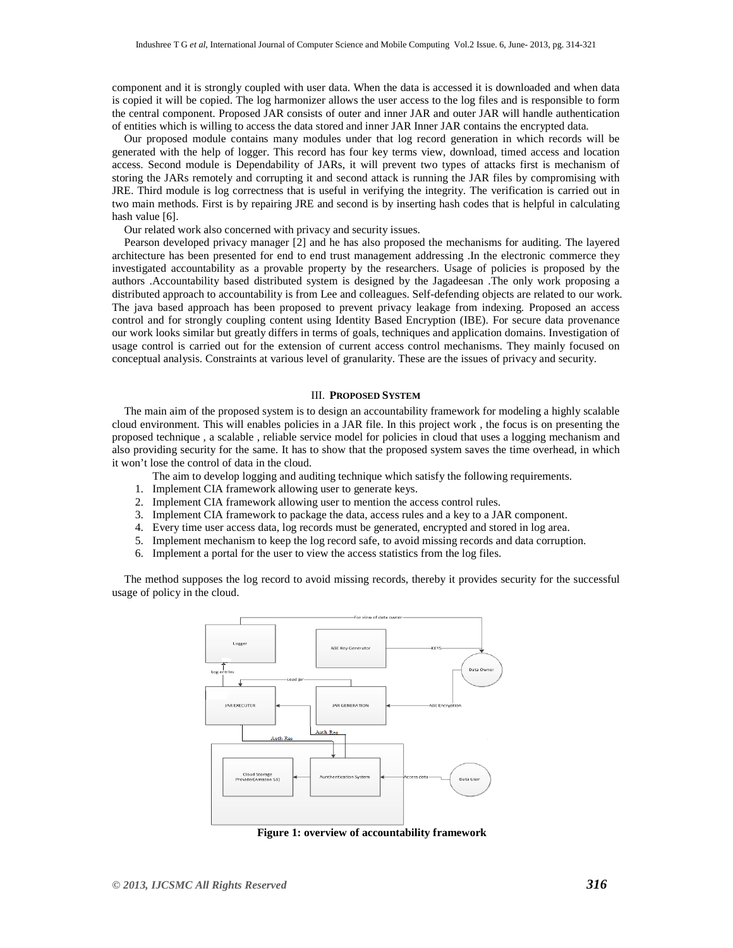component and it is strongly coupled with user data. When the data is accessed it is downloaded and when data is copied it will be copied. The log harmonizer allows the user access to the log files and is responsible to form the central component. Proposed JAR consists of outer and inner JAR and outer JAR will handle authentication of entities which is willing to access the data stored and inner JAR Inner JAR contains the encrypted data.

Our proposed module contains many modules under that log record generation in which records will be generated with the help of logger. This record has four key terms view, download, timed access and location access. Second module is Dependability of JARs, it will prevent two types of attacks first is mechanism of storing the JARs remotely and corrupting it and second attack is running the JAR files by compromising with JRE. Third module is log correctness that is useful in verifying the integrity. The verification is carried out in two main methods. First is by repairing JRE and second is by inserting hash codes that is helpful in calculating hash value [6].

Our related work also concerned with privacy and security issues.

Pearson developed privacy manager [2] and he has also proposed the mechanisms for auditing. The layered architecture has been presented for end to end trust management addressing .In the electronic commerce they investigated accountability as a provable property by the researchers. Usage of policies is proposed by the authors .Accountability based distributed system is designed by the Jagadeesan .The only work proposing a distributed approach to accountability is from Lee and colleagues. Self-defending objects are related to our work. The java based approach has been proposed to prevent privacy leakage from indexing. Proposed an access control and for strongly coupling content using Identity Based Encryption (IBE). For secure data provenance our work looks similar but greatly differs in terms of goals, techniques and application domains. Investigation of usage control is carried out for the extension of current access control mechanisms. They mainly focused on conceptual analysis. Constraints at various level of granularity. These are the issues of privacy and security.

# III. **PROPOSED SYSTEM**

The main aim of the proposed system is to design an accountability framework for modeling a highly scalable cloud environment. This will enables policies in a JAR file. In this project work , the focus is on presenting the proposed technique , a scalable , reliable service model for policies in cloud that uses a logging mechanism and also providing security for the same. It has to show that the proposed system saves the time overhead, in which it won't lose the control of data in the cloud.

The aim to develop logging and auditing technique which satisfy the following requirements.

- 1. Implement CIA framework allowing user to generate keys.
- 2. Implement CIA framework allowing user to mention the access control rules.
- 3. Implement CIA framework to package the data, access rules and a key to a JAR component.
- 4. Every time user access data, log records must be generated, encrypted and stored in log area.
- 5. Implement mechanism to keep the log record safe, to avoid missing records and data corruption.
- 6. Implement a portal for the user to view the access statistics from the log files.

The method supposes the log record to avoid missing records, thereby it provides security for the successful usage of policy in the cloud.



**Figure 1: overview of accountability framework**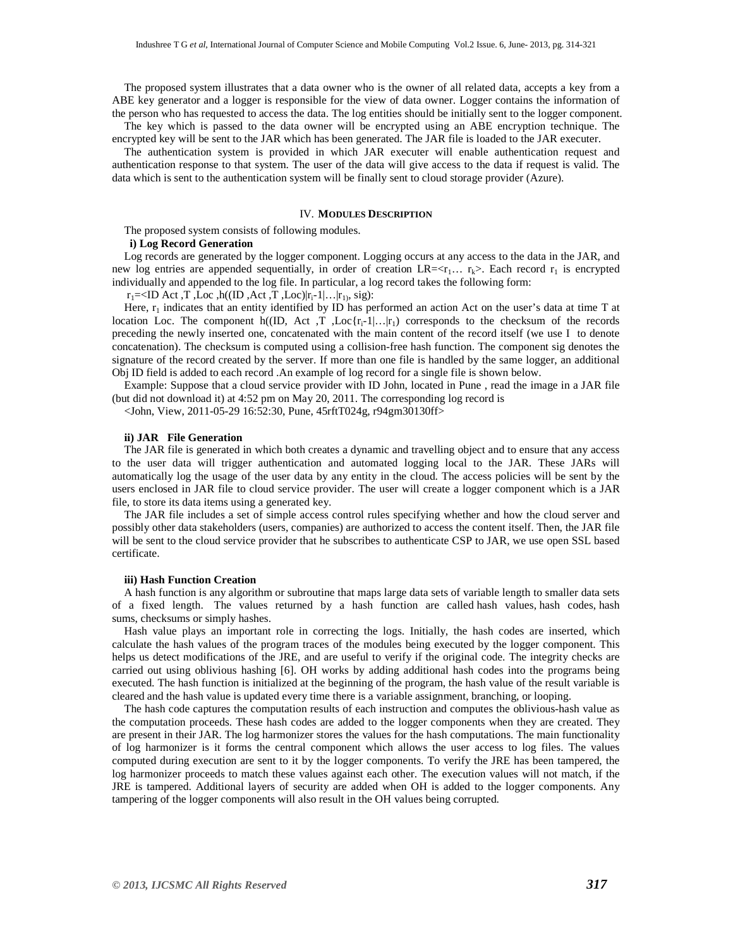The proposed system illustrates that a data owner who is the owner of all related data, accepts a key from a ABE key generator and a logger is responsible for the view of data owner. Logger contains the information of the person who has requested to access the data. The log entities should be initially sent to the logger component. The key which is passed to the data owner will be encrypted using an ABE encryption technique. The

encrypted key will be sent to the JAR which has been generated. The JAR file is loaded to the JAR executer.

The authentication system is provided in which JAR executer will enable authentication request and authentication response to that system. The user of the data will give access to the data if request is valid. The data which is sent to the authentication system will be finally sent to cloud storage provider (Azure).

#### IV. **MODULES DESCRIPTION**

The proposed system consists of following modules.

#### **i) Log Record Generation**

Log records are generated by the logger component. Logging occurs at any access to the data in the JAR, and new log entries are appended sequentially, in order of creation  $LR=$ . Each record  $r_1$  is encrypted individually and appended to the log file. In particular, a log record takes the following form:

 $r_1 = \langle ID \text{ Act}, T \text{ ,} Loc \text{ ,} h((ID \text{ ,} Act \text{ ,} T \text{ ,} Loc)|r_1-1|...|r_1 \text{ , } sig)$ :

Here,  $r_1$  indicates that an entity identified by ID has performed an action Act on the user's data at time T at location Loc. The component h((ID, Act ,T ,Loc $\{r_i-1\}$ ... $|r_1\rangle$  corresponds to the checksum of the records preceding the newly inserted one, concatenated with the main content of the record itself (we use I to denote concatenation). The checksum is computed using a collision-free hash function. The component sig denotes the signature of the record created by the server. If more than one file is handled by the same logger, an additional Obj ID field is added to each record .An example of log record for a single file is shown below.

Example: Suppose that a cloud service provider with ID John, located in Pune , read the image in a JAR file (but did not download it) at 4:52 pm on May 20, 2011. The corresponding log record is

<John, View, 2011-05-29 16:52:30, Pune, 45rftT024g, r94gm30130ff>

#### **ii) JAR File Generation**

The JAR file is generated in which both creates a dynamic and travelling object and to ensure that any access to the user data will trigger authentication and automated logging local to the JAR. These JARs will automatically log the usage of the user data by any entity in the cloud. The access policies will be sent by the users enclosed in JAR file to cloud service provider. The user will create a logger component which is a JAR file, to store its data items using a generated key.

The JAR file includes a set of simple access control rules specifying whether and how the cloud server and possibly other data stakeholders (users, companies) are authorized to access the content itself. Then, the JAR file will be sent to the cloud service provider that he subscribes to authenticate CSP to JAR, we use open SSL based certificate.

#### **iii) Hash Function Creation**

A hash function is any algorithm or subroutine that maps large data sets of variable length to smaller data sets of a fixed length. The values returned by a hash function are called hash values, hash codes, hash sums, checksums or simply hashes.

Hash value plays an important role in correcting the logs. Initially, the hash codes are inserted, which calculate the hash values of the program traces of the modules being executed by the logger component. This helps us detect modifications of the JRE, and are useful to verify if the original code. The integrity checks are carried out using oblivious hashing [6]. OH works by adding additional hash codes into the programs being executed. The hash function is initialized at the beginning of the program, the hash value of the result variable is cleared and the hash value is updated every time there is a variable assignment, branching, or looping.

The hash code captures the computation results of each instruction and computes the oblivious-hash value as the computation proceeds. These hash codes are added to the logger components when they are created. They are present in their JAR. The log harmonizer stores the values for the hash computations. The main functionality of log harmonizer is it forms the central component which allows the user access to log files. The values computed during execution are sent to it by the logger components. To verify the JRE has been tampered, the log harmonizer proceeds to match these values against each other. The execution values will not match, if the JRE is tampered. Additional layers of security are added when OH is added to the logger components. Any tampering of the logger components will also result in the OH values being corrupted.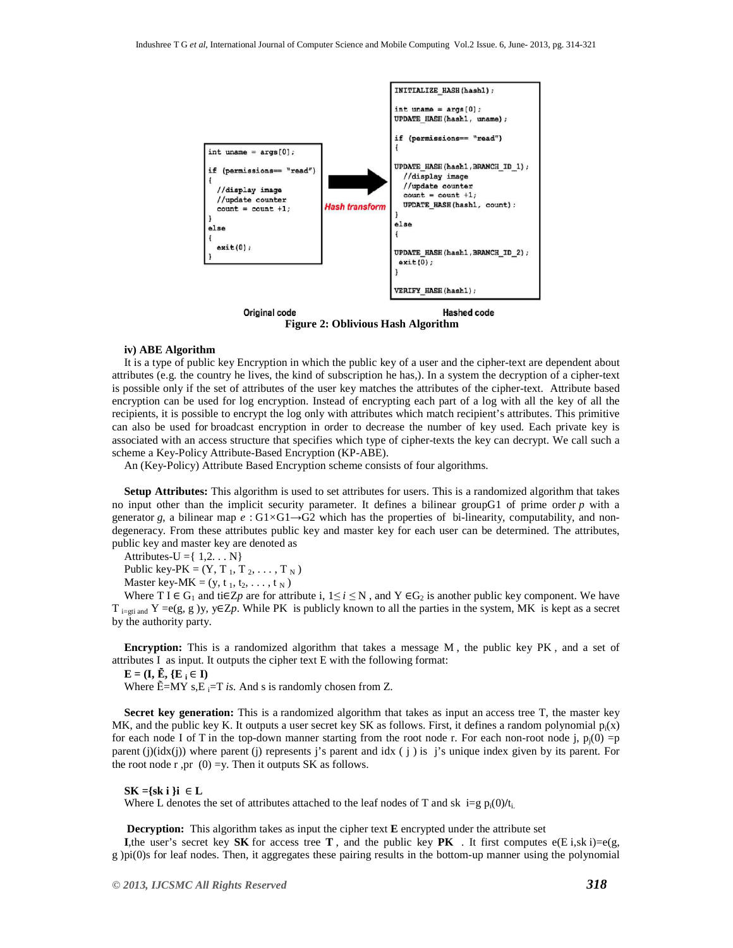

**Figure 2: Oblivious Hash Algorithm** 

#### **iv) ABE Algorithm**

It is a type of public key Encryption in which the public key of a user and the cipher-text are dependent about attributes (e.g. the country he lives, the kind of subscription he has,). In a system the decryption of a cipher-text is possible only if the set of attributes of the user key matches the attributes of the cipher-text. Attribute based encryption can be used for log encryption. Instead of encrypting each part of a log with all the key of all the recipients, it is possible to encrypt the log only with attributes which match recipient's attributes. This primitive can also be used for broadcast encryption in order to decrease the number of key used. Each private key is associated with an access structure that specifies which type of cipher-texts the key can decrypt. We call such a scheme a Key-Policy Attribute-Based Encryption (KP-ABE).

An (Key-Policy) Attribute Based Encryption scheme consists of four algorithms.

**Setup Attributes:** This algorithm is used to set attributes for users. This is a randomized algorithm that takes no input other than the implicit security parameter. It defines a bilinear groupG1 of prime order *p* with a generator *g*, a bilinear map *e* : G1*×*G1*→*G2 which has the properties of bi-linearity, computability, and nondegeneracy. From these attributes public key and master key for each user can be determined. The attributes, public key and master key are denoted as

Attributes-U =  $\{ 1, 2, \ldots N \}$ 

Public key-PK =  $(Y, T_1, T_2, ..., T_N)$ 

Master key-MK =  $(y, t_1, t_2, \ldots, t_N)$ 

Where T I  $\in$  G<sub>1</sub> and ti $\in$ Z*p* are for attribute i,  $1 \le i \le N$ , and Y  $\in$ G<sub>2</sub> is another public key component. We have  $T_{i=gti}$  and  $Y = e(g, g)$ y, y∈Z*p*. While PK is publicly known to all the parties in the system, MK is kept as a secret by the authority party.

**Encryption:** This is a randomized algorithm that takes a message M , the public key PK , and a set of attributes I as input. It outputs the cipher text E with the following format:

 $E = (I, \tilde{E}, \{E_i \in I\})$ 

Where  $\tilde{E} = MY$  s,  $E = T$  *is.* And s is randomly chosen from Z.

**Secret key generation:** This is a randomized algorithm that takes as input an access tree T, the master key MK, and the public key K. It outputs a user secret key SK as follows. First, it defines a random polynomial  $p_i(x)$ for each node I of T in the top-down manner starting from the root node r. For each non-root node j,  $p_i(0) = p$ parent  $(j)(idx(j))$  where parent (j) represents j's parent and idx  $(j)$  is j's unique index given by its parent. For the root node r,pr  $(0) = y$ . Then it outputs SK as follows.

#### **SK ={sk i }i** ∈ **L**

Where L denotes the set of attributes attached to the leaf nodes of T and sk i=g  $p_i(0)/t_i$ .

 **Decryption:** This algorithm takes as input the cipher text **E** encrypted under the attribute set

**I**, the user's secret key **SK** for access tree **T**, and the public key **PK** . It first computes  $e(E_i, sk_i) = e(g_i)$ g )pi(0)s for leaf nodes. Then, it aggregates these pairing results in the bottom-up manner using the polynomial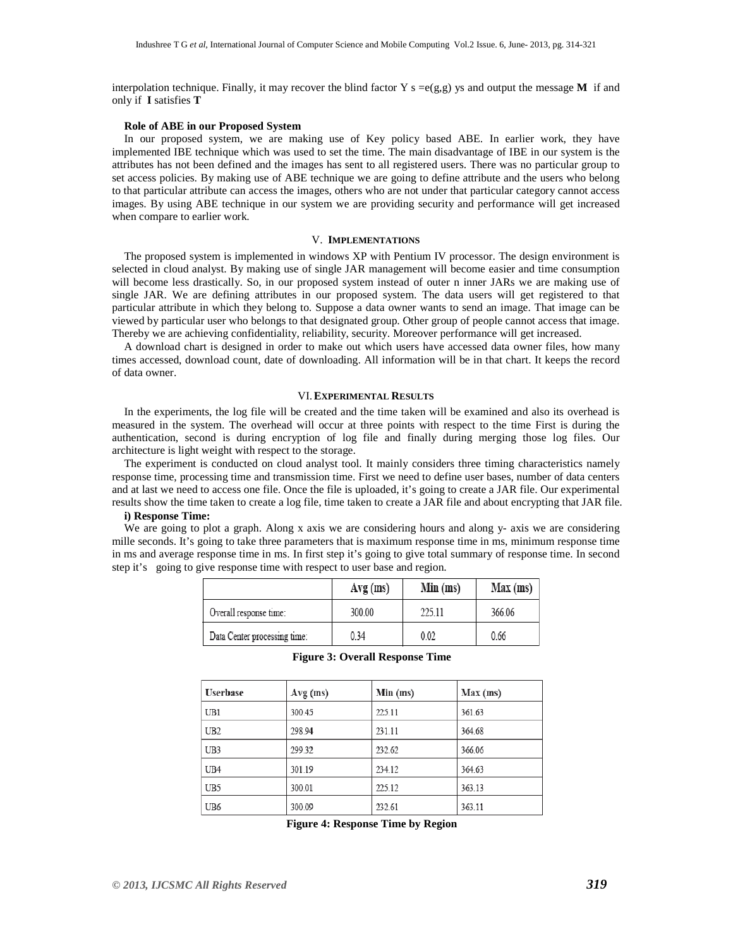interpolation technique. Finally, it may recover the blind factor  $Y s = e(g, g)$  ys and output the message **M** if and only if **I** satisfies **T**

#### **Role of ABE in our Proposed System**

In our proposed system, we are making use of Key policy based ABE. In earlier work, they have implemented IBE technique which was used to set the time. The main disadvantage of IBE in our system is the attributes has not been defined and the images has sent to all registered users. There was no particular group to set access policies. By making use of ABE technique we are going to define attribute and the users who belong to that particular attribute can access the images, others who are not under that particular category cannot access images. By using ABE technique in our system we are providing security and performance will get increased when compare to earlier work.

## V. **IMPLEMENTATIONS**

The proposed system is implemented in windows XP with Pentium IV processor. The design environment is selected in cloud analyst. By making use of single JAR management will become easier and time consumption will become less drastically. So, in our proposed system instead of outer n inner JARs we are making use of single JAR. We are defining attributes in our proposed system. The data users will get registered to that particular attribute in which they belong to. Suppose a data owner wants to send an image. That image can be viewed by particular user who belongs to that designated group. Other group of people cannot access that image. Thereby we are achieving confidentiality, reliability, security. Moreover performance will get increased.

A download chart is designed in order to make out which users have accessed data owner files, how many times accessed, download count, date of downloading. All information will be in that chart. It keeps the record of data owner.

# VI.**EXPERIMENTAL RESULTS**

In the experiments, the log file will be created and the time taken will be examined and also its overhead is measured in the system. The overhead will occur at three points with respect to the time First is during the authentication, second is during encryption of log file and finally during merging those log files. Our architecture is light weight with respect to the storage.

The experiment is conducted on cloud analyst tool. It mainly considers three timing characteristics namely response time, processing time and transmission time. First we need to define user bases, number of data centers and at last we need to access one file. Once the file is uploaded, it's going to create a JAR file. Our experimental results show the time taken to create a log file, time taken to create a JAR file and about encrypting that JAR file.

### **i) Response Time:**

We are going to plot a graph. Along x axis we are considering hours and along y- axis we are considering mille seconds. It's going to take three parameters that is maximum response time in ms, minimum response time in ms and average response time in ms. In first step it's going to give total summary of response time. In second step it's going to give response time with respect to user base and region.

|                              | $Avg$ (ms) | Min (ms) | Max (ms) |
|------------------------------|------------|----------|----------|
| Overall response time:       | 300.00     | 225 11   | 366.06   |
| Data Center processing time: | 0.34       | 0.02     | 0.66     |

| <b>Userbase</b> | $Avg$ (ms) | Min (ms) | Max (ms) |
|-----------------|------------|----------|----------|
| UB1             | 300.45     | 225.11   | 361.63   |
| UB <sub>2</sub> | 298.94     | 231.11   | 364.68   |
| UB3             | 299.32     | 232.62   | 366.06   |
| UB4             | 301.19     | 234.12   | 364.63   |
| UB5             | 300.01     | 225.12   | 363.13   |
| UB6             | 300.09     | 232.61   | 363.11   |

|  |  | <b>Figure 3: Overall Response Time</b> |  |
|--|--|----------------------------------------|--|
|--|--|----------------------------------------|--|

**Figure 4: Response Time by Region**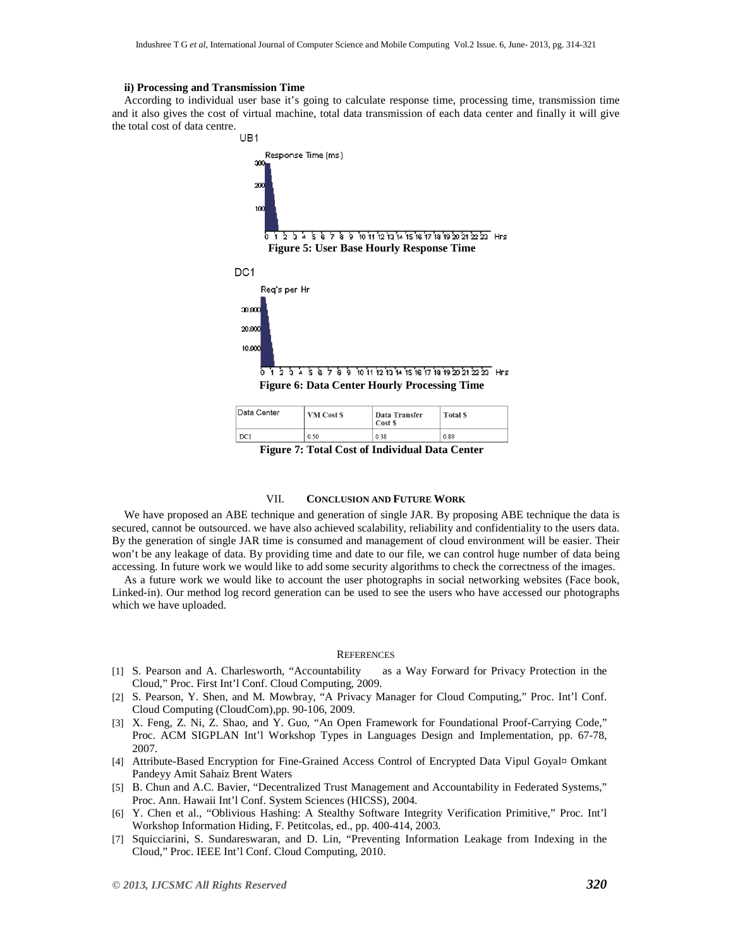#### **ii) Processing and Transmission Time**

According to individual user base it's going to calculate response time, processing time, transmission time and it also gives the cost of virtual machine, total data transmission of each data center and finally it will give the total cost of data centre.



| Data Center | VM Cost \$ | <b>Data Transfer</b><br>Cost \$ | Total \$ |
|-------------|------------|---------------------------------|----------|
| DC1         | 0.50       | 0.38                            | 0.89     |

**Figure 7: Total Cost of Individual Data Center** 

#### VII. **CONCLUSION AND FUTURE WORK**

We have proposed an ABE technique and generation of single JAR. By proposing ABE technique the data is secured, cannot be outsourced. we have also achieved scalability, reliability and confidentiality to the users data. By the generation of single JAR time is consumed and management of cloud environment will be easier. Their won't be any leakage of data. By providing time and date to our file, we can control huge number of data being accessing. In future work we would like to add some security algorithms to check the correctness of the images.

As a future work we would like to account the user photographs in social networking websites (Face book, Linked-in). Our method log record generation can be used to see the users who have accessed our photographs which we have uploaded.

#### **REFERENCES**

- [1] S. Pearson and A. Charlesworth, "Accountability as a Way Forward for Privacy Protection in the Cloud," Proc. First Int'l Conf. Cloud Computing, 2009.
- [2] S. Pearson, Y. Shen, and M. Mowbray, "A Privacy Manager for Cloud Computing," Proc. Int'l Conf. Cloud Computing (CloudCom),pp. 90-106, 2009.
- [3] X. Feng, Z. Ni, Z. Shao, and Y. Guo, "An Open Framework for Foundational Proof-Carrying Code," Proc. ACM SIGPLAN Int'l Workshop Types in Languages Design and Implementation, pp. 67-78, 2007.
- [4] Attribute-Based Encryption for Fine-Grained Access Control of Encrypted Data Vipul Goyal¤ Omkant Pandeyy Amit Sahaiz Brent Waters
- [5] B. Chun and A.C. Bavier, "Decentralized Trust Management and Accountability in Federated Systems," Proc. Ann. Hawaii Int'l Conf. System Sciences (HICSS), 2004.
- [6] Y. Chen et al., "Oblivious Hashing: A Stealthy Software Integrity Verification Primitive," Proc. Int'l Workshop Information Hiding, F. Petitcolas, ed., pp. 400-414, 2003.
- [7] Squicciarini, S. Sundareswaran, and D. Lin, "Preventing Information Leakage from Indexing in the Cloud," Proc. IEEE Int'l Conf. Cloud Computing, 2010.